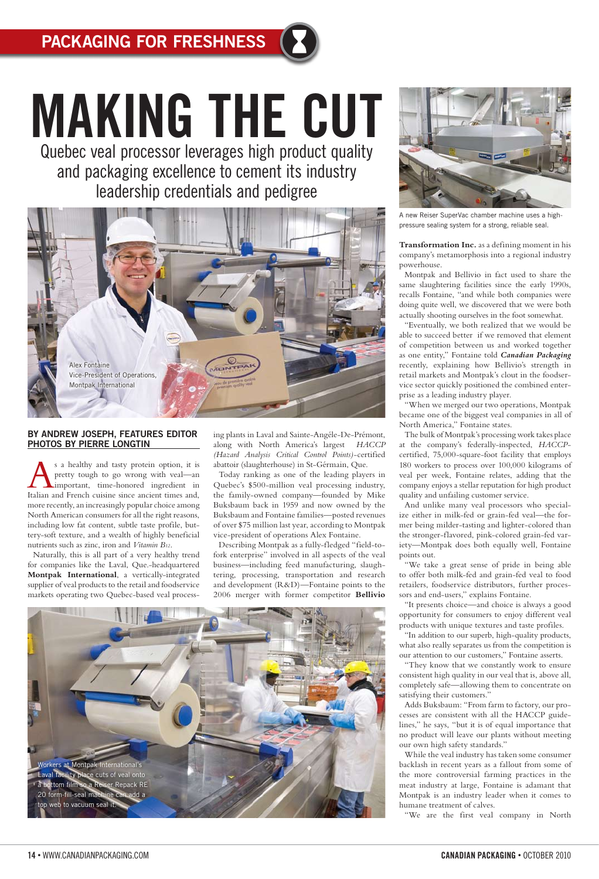### **BY ANDREW JOSEPH, FEATURES EDITOR PHOTOS BY PIERRE LONGTIN**

s a healthy and tasty protein option, it is pretty tough to go wrong with veal—an important, time-honored ingredient in Italian and French cuisine since ancient times and, more recently, an increasingly popular choice among North American consumers for all the right reasons, including low fat content, subtle taste profile, buttery-soft texture, and a wealth of highly beneficial nutrients such as zinc, iron and *Vitamin B12*.

Naturally, this is all part of a very healthy trend for companies like the Laval, Que.-headquartered **Montpak International**, a vertically-integrated supplier of veal products to the retail and foodservice markets operating two Quebec-based veal processing plants in Laval and Sainte-Angéle-De-Prémont, along with North America's largest *HACCP (Hazard Analysis Critical Control Points)*-certified abattoir (slaughterhouse) in St-Gérmain, Que.

Today ranking as one of the leading players in Quebec's \$500-million veal processing industry, the family-owned company—founded by Mike Buksbaum back in 1959 and now owned by the Buksbaum and Fontaine families—posted revenues of over \$75 million last year, according to Montpak vice-president of operations Alex Fontaine.

Describing Montpak as a fully-fledged "field-tofork enterprise" involved in all aspects of the veal business—including feed manufacturing, slaughtering, processing, transportation and research and development (R&D)—Fontaine points to the 2006 merger with former competitor **Bellivio** 

**Transformation Inc.** as a defining moment in his company's metamorphosis into a regional industry powerhouse.

Montpak and Bellivio in fact used to share the same slaughtering facilities since the early 1990s, recalls Fontaine, "and while both companies were doing quite well, we discovered that we were both actually shooting ourselves in the foot somewhat.

"Eventually, we both realized that we would be able to succeed better if we removed that element of competition between us and worked together as one entity," Fontaine told *Canadian Packaging* recently, explaining how Bellivio's strength in retail markets and Montpak's clout in the foodservice sector quickly positioned the combined enterprise as a leading industry player.

"When we merged our two operations, Montpak became one of the biggest veal companies in all of North America," Fontaine states.

The bulk of Montpak's processing work takes place at the company's federally-inspected, *HACCP*certified, 75,000-square-foot facility that employs 180 workers to process over 100,000 kilograms of veal per week, Fontaine relates, adding that the company enjoys a stellar reputation for high product quality and unfailing customer service.

And unlike many veal processors who specialize either in milk-fed or grain-fed veal—the former being milder-tasting and lighter-colored than the stronger-flavored, pink-colored grain-fed variety—Montpak does both equally well, Fontaine points out.

"We take a great sense of pride in being able to offer both milk-fed and grain-fed veal to food retailers, foodservice distributors, further processors and end-users," explains Fontaine.

"It presents choice—and choice is always a good opportunity for consumers to enjoy different veal products with unique textures and taste profiles.

"In addition to our superb, high-quality products, what also really separates us from the competition is our attention to our customers," Fontaine asserts.

"They know that we constantly work to ensure consistent high quality in our veal that is, above all, completely safe—allowing them to concentrate on

satisfying their customers."

Adds Buksbaum: "From farm to factory, our processes are consistent with all the HACCP guidelines," he says, "but it is of equal importance that no product will leave our plants without meeting our own high safety standards."

While the veal industry has taken some consumer backlash in recent years as a fallout from some of the more controversial farming practices in the meat industry at large, Fontaine is adamant that Montpak is an industry leader when it comes to humane treatment of calves.

"We are the first veal company in North

### **14 •** WWW.CANADIANPACKAGING.COM **CANADIAN PACKAGING •** OCTOBER 2010

# **MAKING THE CUT** Quebec veal processor leverages high product quality

and packaging excellence to cement its industry leadership credentials and pedigree







A new Reiser SuperVac chamber machine uses a highpressure sealing system for a strong, reliable seal.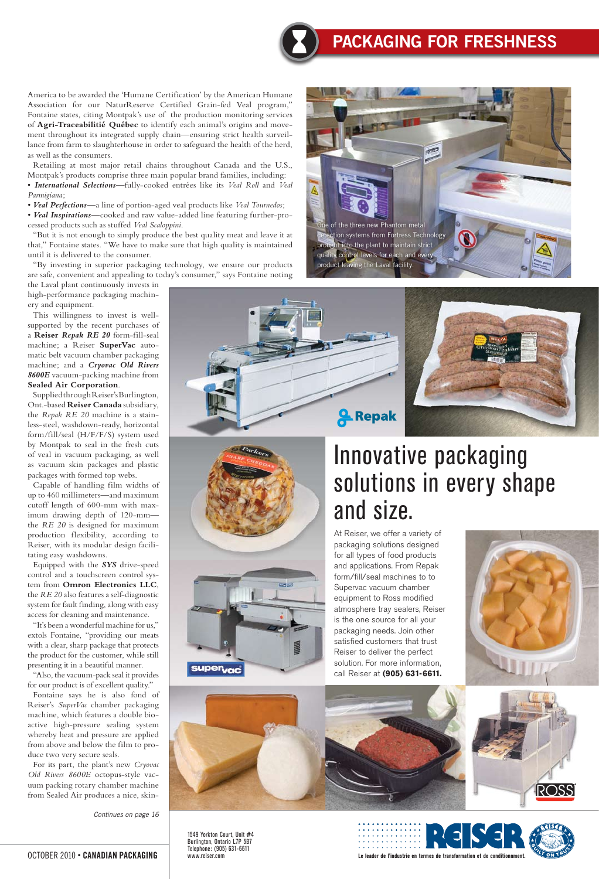America to be awarded the 'Humane Certification' by the American Humane Association for our NaturReserve Certified Grain-fed Veal program," Fontaine states, citing Montpak's use of the production monitoring services of **Agri-Traceabilitié Québec** to identify each animal's origins and movement throughout its integrated supply chain—ensuring strict health surveillance from farm to slaughterhouse in order to safeguard the health of the herd, as well as the consumers.

Retailing at most major retail chains throughout Canada and the U.S., Montpak's products comprise three main popular brand families, including:

"By investing in superior packaging technology, we ensure our products are safe, convenient and appealing to today's consumer," says Fontaine noting

• *International Selections*—fully-cooked entrées like its *Veal Roll* and *Veal Parmigiana*;

• *Veal Perfections*—a line of portion-aged veal products like *Veal Tournedos*;

• *Veal Inspirations*—cooked and raw value-added line featuring further-processed products such as stuffed *Veal Scaloppini*.

"But it is not enough to simply produce the best quality meat and leave it at that," Fontaine states. "We have to make sure that high quality is maintained until it is delivered to the consumer.

the Laval plant continuously invests in high-performance packaging machinery and equipment.

This willingness to invest is wellsupported by the recent purchases of a **Reiser** *Repak RE 20* form-fill-seal machine; a Reiser **SuperVac** automatic belt vacuum chamber packaging machine; and a *Cryovac Old Rivers 8600E* vacuum-packing machine from **Sealed Air Corporation**.

Supplied through Reiser's Burlington, Ont.-based **Reiser Canada** subsidiary, the *Repak RE 20* machine is a stainless-steel, washdown-ready, horizontal form/fill/seal (H/F/F/S) system used by Montpak to seal in the fresh cuts of veal in vacuum packaging, as well as vacuum skin packages and plastic packages with formed top webs.

Capable of handling film widths of up to 460 millimeters—and maximum cutoff length of 600-mm with maximum drawing depth of 120-mm the *RE 20* is designed for maximum production flexibility, according to Reiser, with its modular design facilitating easy washdowns.

Equipped with the *SYS* drive-speed control and a touchscreen control system from **Omron Electronics LLC**, the *RE 20* also features a self-diagnostic system for fault finding, along with easy access for cleaning and maintenance.

"It's been a wonderful machine for us," extols Fontaine, "providing our meats with a clear, sharp package that protects the product for the customer, while still presenting it in a beautiful manner.

"Also, the vacuum-pack seal it provides for our product is of excellent quality." Fontaine says he is also fond of Reiser's *SuperVac* chamber packaging machine, which features a double bioactive high-pressure sealing system whereby heat and pressure are applied from above and below the film to produce two very secure seals. For its part, the plant's new *Cryovac Old Rivers 8600E* octopus-style vacuum packing rotary chamber machine from Sealed Air produces a nice, skin-



OCTOBER 2010 **• CANADIAN PACKAGING**

## **Packaging For Freshness**





*Continues on page 16*







# Innovative packaging solutions in every shape and size.

At Reiser, we offer a variety of packaging solutions designed for all types of food products and applications. From Repak form/fill/seal machines to to Supervac vacuum chamber equipment to Ross modified atmosphere tray sealers, Reiser is the one source for all your packaging needs. Join other satisfied customers that trust Reiser to deliver the perfect solution. For more information, call Reiser at **(905) 631-6611.**

**A** Repak



1549 Yorkton Court, Unit #4 Burlington, Ontario L7P 5B7 Telephone: (905) 631-6611 www.reiser.com